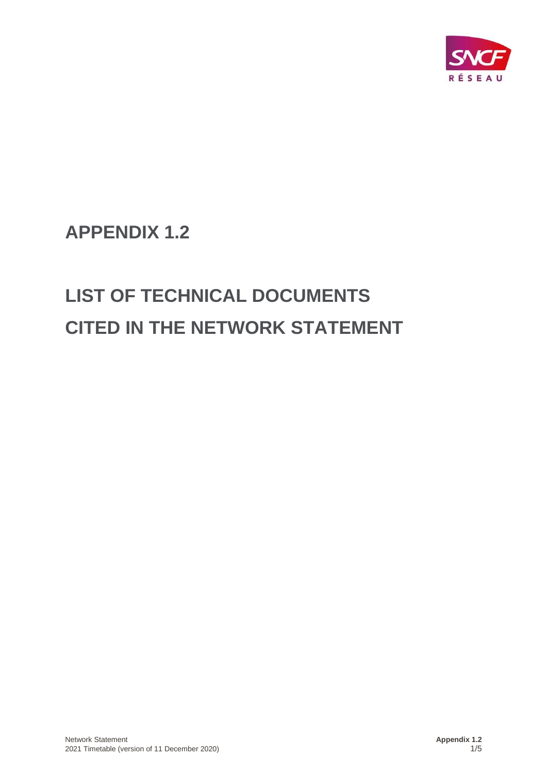

**APPENDIX 1.2**

# **LIST OF TECHNICAL DOCUMENTS CITED IN THE NETWORK STATEMENT**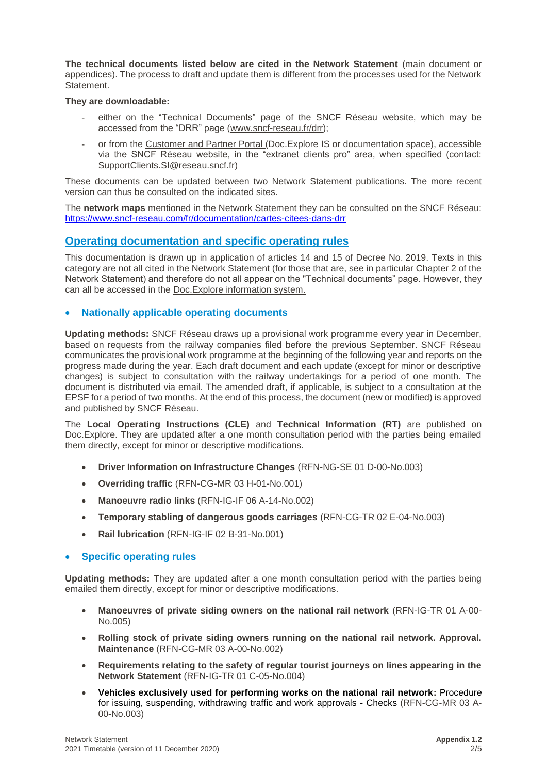**The technical documents listed below are cited in the Network Statement** (main document or appendices). The process to draft and update them is different from the processes used for the Network Statement.

#### **They are downloadable:**

- either on the ["Technical Documents"](http://www.sncf-reseau.fr/fr/les-documents-techniques-et-referentiels) page of the SNCF Réseau website, which may be accessed from the "DRR" page [\(www.sncf-reseau.fr/drr\)](http://www.sncf-reseau.fr/drr);
- or from the [Customer and Partner Portal](http://extranet.rff.fr/) (Doc.Explore IS or documentation space), accessible via the SNCF Réseau website, in the "extranet clients pro" area, when specified (contact: [SupportClients.SI@reseau.sncf.fr\)](mailto:SupportClients.SI@reseau.sncf.fr)

These documents can be updated between two Network Statement publications. The more recent version can thus be consulted on the indicated sites.

The **network maps** mentioned in the Network Statement they can be consulted on the SNCF Réseau: <https://www.sncf-reseau.com/fr/documentation/cartes-citees-dans-drr>

## **Operating documentation and specific operating rules**

This documentation is drawn up in application of articles 14 and 15 of Decree No. 2019. Texts in this category are not all cited in the Network Statement (for those that are, see in particular Chapter 2 of the Network Statement) and therefore do not all appear on the "Technical documents" page. However, they can all be accessed in the [Doc.Explore information system.](https://arcolex.rff.fr/login.aspx?ReturnUrl=/default.aspx)

#### • **Nationally applicable operating documents**

**Updating methods:** SNCF Réseau draws up a provisional work programme every year in December, based on requests from the railway companies filed before the previous September. SNCF Réseau communicates the provisional work programme at the beginning of the following year and reports on the progress made during the year. Each draft document and each update (except for minor or descriptive changes) is subject to consultation with the railway undertakings for a period of one month. The document is distributed via email. The amended draft, if applicable, is subject to a consultation at the EPSF for a period of two months. At the end of this process, the document (new or modified) is approved and published by SNCF Réseau.

The **Local Operating Instructions (CLE)** and **Technical Information (RT)** are published on Doc.Explore. They are updated after a one month consultation period with the parties being emailed them directly, except for minor or descriptive modifications.

- **Driver Information on Infrastructure Changes** (RFN-NG-SE 01 D-00-No.003)
- **Overriding traffic** (RFN-CG-MR 03 H-01-No.001)
- **Manoeuvre radio links** (RFN-IG-IF 06 A-14-No.002)
- **Temporary stabling of dangerous goods carriages** (RFN-CG-TR 02 E-04-No.003)
- **Rail lubrication** (RFN-IG-IF 02 B-31-No.001)

## • **Specific operating rules**

**Updating methods:** They are updated after a one month consultation period with the parties being emailed them directly, except for minor or descriptive modifications.

- **Manoeuvres of private siding owners on the national rail network** (RFN-IG-TR 01 A-00- No.005)
- **Rolling stock of private siding owners running on the national rail network. Approval. Maintenance** (RFN-CG-MR 03 A-00-No.002)
- **Requirements relating to the safety of regular tourist journeys on lines appearing in the Network Statement** (RFN-IG-TR 01 C-05-No.004)
- **Vehicles exclusively used for performing works on the national rail network:** Procedure for issuing, suspending, withdrawing traffic and work approvals - Checks (RFN-CG-MR 03 A-00-No.003)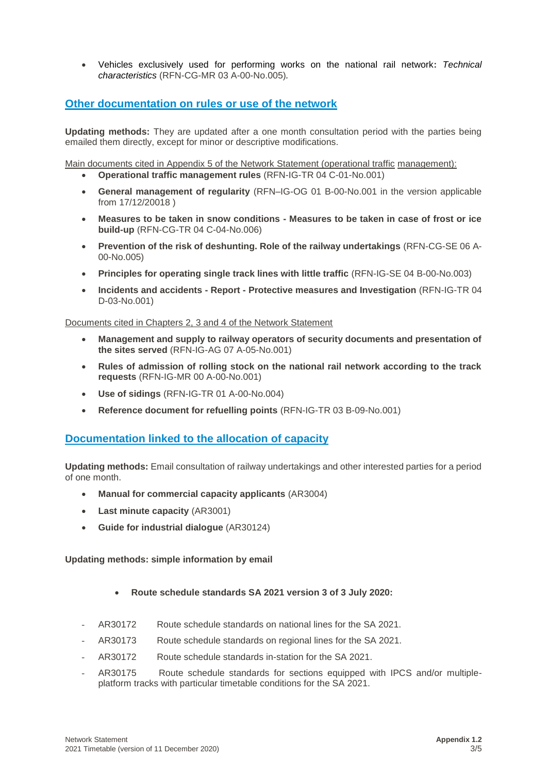• Vehicles exclusively used for performing works on the national rail network**:** *Technical characteristics* (RFN-CG-MR 03 A-00-No.005)*.*

## **Other documentation on rules or use of the network**

**Updating methods:** They are updated after a one month consultation period with the parties being emailed them directly, except for minor or descriptive modifications.

Main documents cited in Appendix 5 of the Network Statement (operational traffic management):

- **Operational traffic management rules** (RFN-IG-TR 04 C-01-No.001)
- **General management of regularity** (RFN–IG-OG 01 B-00-No.001 in the version applicable from 17/12/20018 )
- **Measures to be taken in snow conditions - Measures to be taken in case of frost or ice build-up** (RFN-CG-TR 04 C-04-No.006)
- **Prevention of the risk of deshunting. Role of the railway undertakings** (RFN-CG-SE 06 A-00-No.005)
- **Principles for operating single track lines with little traffic** (RFN-IG-SE 04 B-00-No.003)
- **Incidents and accidents - Report - Protective measures and Investigation** (RFN-IG-TR 04 D-03-No.001)

#### Documents cited in Chapters 2, 3 and 4 of the Network Statement

- **Management and supply to railway operators of security documents and presentation of the sites served** (RFN-IG-AG 07 A-05-No.001)
- **Rules of admission of rolling stock on the national rail network according to the track requests** (RFN-IG-MR 00 A-00-No.001)
- **Use of sidings** (RFN-IG-TR 01 A-00-No.004)
- **Reference document for refuelling points** (RFN-IG-TR 03 B-09-No.001)

## **Documentation linked to the allocation of capacity**

**Updating methods:** Email consultation of railway undertakings and other interested parties for a period of one month.

- **Manual for commercial capacity applicants** (AR3004)
- **Last minute capacity** (AR3001)
- **Guide for industrial dialogue** (AR30124)

#### **Updating methods: simple information by email**

- **Route schedule standards SA 2021 version 3 of 3 July 2020:**
- AR30172 Route schedule standards on national lines for the SA 2021.
- AR30173 Route schedule standards on regional lines for the SA 2021.
- AR30172 Route schedule standards in-station for the SA 2021.
- AR30175 Route schedule standards for sections equipped with IPCS and/or multipleplatform tracks with particular timetable conditions for the SA 2021.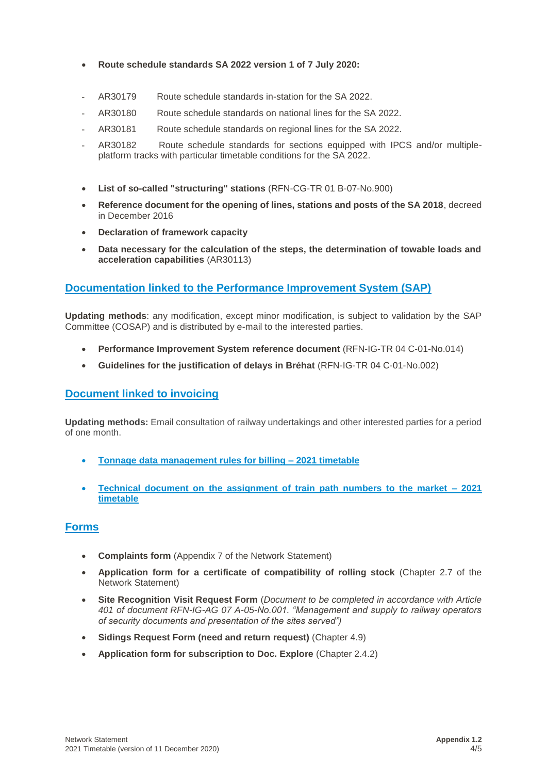- **Route schedule standards SA 2022 version 1 of 7 July 2020:**
- AR30179 Route schedule standards in-station for the SA 2022.
- AR30180 Route schedule standards on national lines for the SA 2022.
- AR30181 Route schedule standards on regional lines for the SA 2022.
- AR30182 Route schedule standards for sections equipped with IPCS and/or multipleplatform tracks with particular timetable conditions for the SA 2022.
- **List of so-called "structuring" stations** (RFN-CG-TR 01 B-07-No.900)
- **Reference document for the opening of lines, stations and posts of the SA 2018**, decreed in December 2016
- **Declaration of framework capacity**
- **Data necessary for the calculation of the steps, the determination of towable loads and acceleration capabilities** (AR30113)

# **Documentation linked to the Performance Improvement System (SAP)**

**Updating methods**: any modification, except minor modification, is subject to validation by the SAP Committee (COSAP) and is distributed by e-mail to the interested parties.

- **Performance Improvement System reference document** (RFN-IG-TR 04 C-01-No.014)
- **Guidelines for the justification of delays in Bréhat** (RFN-IG-TR 04 C-01-No.002)

## **Document linked to invoicing**

**Updating methods:** Email consultation of railway undertakings and other interested parties for a period of one month.

- **Tonnage data management rules for billing – 2021 timetable**
- **Technical document on the assignment of train path numbers to the market – 2021 timetable**

## **Forms**

- **Complaints form** (Appendix 7 of the Network Statement)
- **Application form for a certificate of compatibility of rolling stock** (Chapter 2.7 of the Network Statement)
- **Site Recognition Visit Request Form** (*Document to be completed in accordance with Article 401 of document RFN-IG-AG 07 A-05-No.001. "Management and supply to railway operators of security documents and presentation of the sites served")*
- **Sidings Request Form (need and return request)** (Chapter 4.9)
- **Application form for subscription to Doc. Explore** (Chapter 2.4.2)